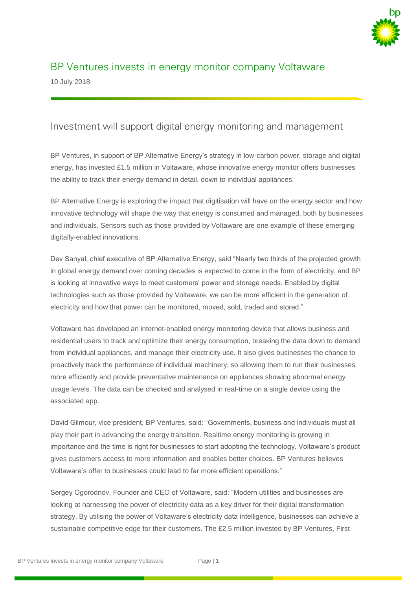

# BP Ventures invests in energy monitor company Voltaware

10 July 2018

### Investment will support digital energy monitoring and management

BP Ventures, in support of BP Alternative Energy's strategy in low-carbon power, storage and digital energy, has invested £1.5 million in Voltaware, whose innovative energy monitor offers businesses the ability to track their energy demand in detail, down to individual appliances.

BP Alternative Energy is exploring the impact that digitisation will have on the energy sector and how innovative technology will shape the way that energy is consumed and managed, both by businesses and individuals. Sensors such as those provided by Voltaware are one example of these emerging digitally-enabled innovations.

Dev Sanyal, chief executive of BP Alternative Energy, said "Nearly two thirds of the projected growth in global energy demand over coming decades is expected to come in the form of electricity, and BP is looking at innovative ways to meet customers' power and storage needs. Enabled by digital technologies such as those provided by Voltaware, we can be more efficient in the generation of electricity and how that power can be monitored, moved, sold, traded and stored."

Voltaware has developed an internet-enabled energy monitoring device that allows business and residential users to track and optimize their energy consumption, breaking the data down to demand from individual appliances, and manage their electricity use. It also gives businesses the chance to proactively track the performance of individual machinery, so allowing them to run their businesses more efficiently and provide preventative maintenance on appliances showing abnormal energy usage levels. The data can be checked and analysed in real-time on a single device using the associated app.

David Gilmour, vice president, BP Ventures, said: "Governments, business and individuals must all play their part in advancing the energy transition. Realtime energy monitoring is growing in importance and the time is right for businesses to start adopting the technology. Voltaware's product gives customers access to more information and enables better choices. BP Ventures believes Voltaware's offer to businesses could lead to far more efficient operations."

Sergey Ogorodnov, Founder and CEO of Voltaware, said: "Modern utilities and businesses are looking at harnessing the power of electricity data as a key driver for their digital transformation strategy. By utilising the power of Voltaware's electricity data intelligence, businesses can achieve a sustainable competitive edge for their customers. The £2.5 million invested by BP Ventures, First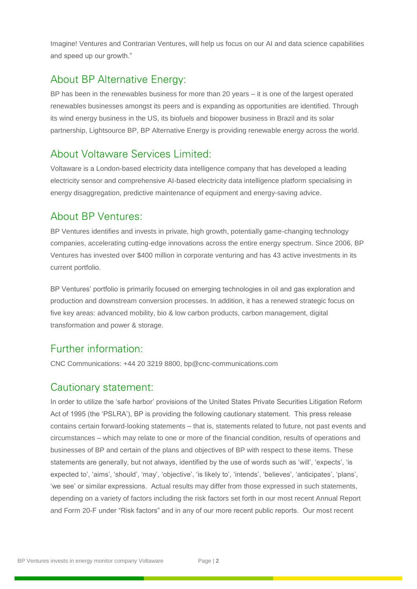Imagine! Ventures and Contrarian Ventures, will help us focus on our AI and data science capabilities and speed up our growth."

## About BP Alternative Energy:

BP has been in the renewables business for more than 20 years – it is one of the largest operated renewables businesses amongst its peers and is expanding as opportunities are identified. Through its wind energy business in the US, its biofuels and biopower business in Brazil and its solar partnership, Lightsource BP, BP Alternative Energy is providing renewable energy across the world.

## About Voltaware Services Limited:

Voltaware is a London-based electricity data intelligence company that has developed a leading electricity sensor and comprehensive AI-based electricity data intelligence platform specialising in energy disaggregation, predictive maintenance of equipment and energy-saving advice.

### About BP Ventures:

BP Ventures identifies and invests in private, high growth, potentially game-changing technology companies, accelerating cutting-edge innovations across the entire energy spectrum. Since 2006, BP Ventures has invested over \$400 million in corporate venturing and has 43 active investments in its current portfolio.

BP Ventures' portfolio is primarily focused on emerging technologies in oil and gas exploration and production and downstream conversion processes. In addition, it has a renewed strategic focus on five key areas: advanced mobility, bio & low carbon products, carbon management, digital transformation and power & storage.

## Further information:

CNC Communications: +44 20 3219 8800, bp@cnc-communications.com

### Cautionary statement:

In order to utilize the 'safe harbor' provisions of the United States Private Securities Litigation Reform Act of 1995 (the 'PSLRA'), BP is providing the following cautionary statement. This press release contains certain forward-looking statements – that is, statements related to future, not past events and circumstances – which may relate to one or more of the financial condition, results of operations and businesses of BP and certain of the plans and objectives of BP with respect to these items. These statements are generally, but not always, identified by the use of words such as 'will', 'expects', 'is expected to', 'aims', 'should', 'may', 'objective', 'is likely to', 'intends', 'believes', 'anticipates', 'plans', 'we see' or similar expressions. Actual results may differ from those expressed in such statements, depending on a variety of factors including the risk factors set forth in our most recent Annual Report and Form 20-F under "Risk factors" and in any of our more recent public reports. Our most recent